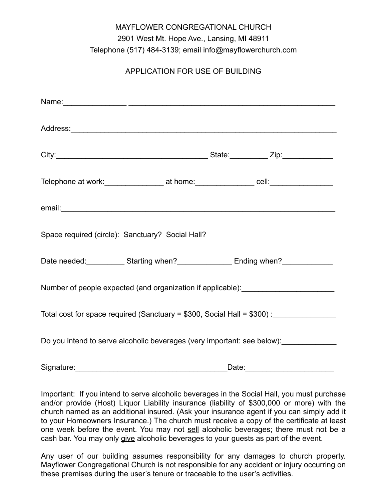## MAYFLOWER CONGREGATIONAL CHURCH 2901 West Mt. Hope Ave., Lansing, MI 48911 Telephone (517) 484-3139; email info@mayflowerchurch.com

## APPLICATION FOR USE OF BUILDING

| Telephone at work: ____________________ at home: ________________ cell: _______________                                                                                                                                        |  |       |  |
|--------------------------------------------------------------------------------------------------------------------------------------------------------------------------------------------------------------------------------|--|-------|--|
| email: email: email: email: email: email: email: email: email: email: email: email: email: email: email: email: email: email: email: email: email: email: email: email: email: email: email: email: email: email: email: email |  |       |  |
| Space required (circle): Sanctuary? Social Hall?                                                                                                                                                                               |  |       |  |
| Date needed: _____________ Starting when?_________________ Ending when?__________                                                                                                                                              |  |       |  |
| Number of people expected (and organization if applicable): ____________________                                                                                                                                               |  |       |  |
| Total cost for space required (Sanctuary = \$300, Social Hall = \$300) : _______________                                                                                                                                       |  |       |  |
| Do you intend to serve alcoholic beverages (very important: see below):                                                                                                                                                        |  |       |  |
| Signature:                                                                                                                                                                                                                     |  | Date: |  |

Important: If you intend to serve alcoholic beverages in the Social Hall, you must purchase and/or provide (Host) Liquor Liability insurance (liability of \$300,000 or more) with the church named as an additional insured. (Ask your insurance agent if you can simply add it to your Homeowners Insurance.) The church must receive a copy of the certificate at least one week before the event. You may not sell alcoholic beverages; there must not be a cash bar. You may only give alcoholic beverages to your guests as part of the event.

Any user of our building assumes responsibility for any damages to church property. Mayflower Congregational Church is not responsible for any accident or injury occurring on these premises during the user's tenure or traceable to the user's activities.